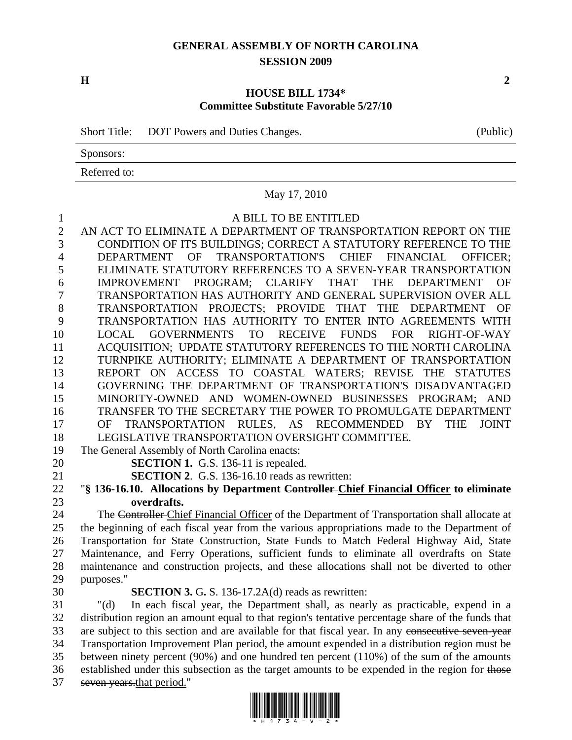# **GENERAL ASSEMBLY OF NORTH CAROLINA SESSION 2009**

### **HOUSE BILL 1734\* Committee Substitute Favorable 5/27/10**

Short Title: DOT Powers and Duties Changes. (Public)

Sponsors:

Referred to:

# May 17, 2010

### 1 A BILL TO BE ENTITLED

2 AN ACT TO ELIMINATE A DEPARTMENT OF TRANSPORTATION REPORT ON THE 3 CONDITION OF ITS BUILDINGS; CORRECT A STATUTORY REFERENCE TO THE 4 DEPARTMENT OF TRANSPORTATION'S CHIEF FINANCIAL OFFICER; 5 ELIMINATE STATUTORY REFERENCES TO A SEVEN-YEAR TRANSPORTATION 6 IMPROVEMENT PROGRAM; CLARIFY THAT THE DEPARTMENT OF 7 TRANSPORTATION HAS AUTHORITY AND GENERAL SUPERVISION OVER ALL 8 TRANSPORTATION PROJECTS; PROVIDE THAT THE DEPARTMENT OF 9 TRANSPORTATION HAS AUTHORITY TO ENTER INTO AGREEMENTS WITH 10 LOCAL GOVERNMENTS TO RECEIVE FUNDS FOR RIGHT-OF-WAY 11 ACQUISITION; UPDATE STATUTORY REFERENCES TO THE NORTH CAROLINA 12 TURNPIKE AUTHORITY; ELIMINATE A DEPARTMENT OF TRANSPORTATION 13 REPORT ON ACCESS TO COASTAL WATERS; REVISE THE STATUTES 14 GOVERNING THE DEPARTMENT OF TRANSPORTATION'S DISADVANTAGED 15 MINORITY-OWNED AND WOMEN-OWNED BUSINESSES PROGRAM; AND 16 TRANSFER TO THE SECRETARY THE POWER TO PROMULGATE DEPARTMENT 17 OF TRANSPORTATION RULES, AS RECOMMENDED BY THE JOINT 18 LEGISLATIVE TRANSPORTATION OVERSIGHT COMMITTEE.

19 The General Assembly of North Carolina enacts:

20 **SECTION 1.** G.S. 136-11 is repealed.

21 **SECTION 2**. G.S. 136-16.10 reads as rewritten:

22 "**§ 136-16.10. Allocations by Department Controller Chief Financial Officer to eliminate**  23 **overdrafts.** 

24 The Controller Chief Financial Officer of the Department of Transportation shall allocate at 25 the beginning of each fiscal year from the various appropriations made to the Department of 26 Transportation for State Construction, State Funds to Match Federal Highway Aid, State 27 Maintenance, and Ferry Operations, sufficient funds to eliminate all overdrafts on State 28 maintenance and construction projects, and these allocations shall not be diverted to other 29 purposes."

### 30 **SECTION 3.** G**.** S. 136-17.2A(d) reads as rewritten:

31 "(d) In each fiscal year, the Department shall, as nearly as practicable, expend in a 32 distribution region an amount equal to that region's tentative percentage share of the funds that 33 are subject to this section and are available for that fiscal year. In any consecutive seven-year 34 Transportation Improvement Plan period, the amount expended in a distribution region must be 35 between ninety percent (90%) and one hundred ten percent (110%) of the sum of the amounts 36 established under this subsection as the target amounts to be expended in the region for those 37 seven years.that period."



**H** 2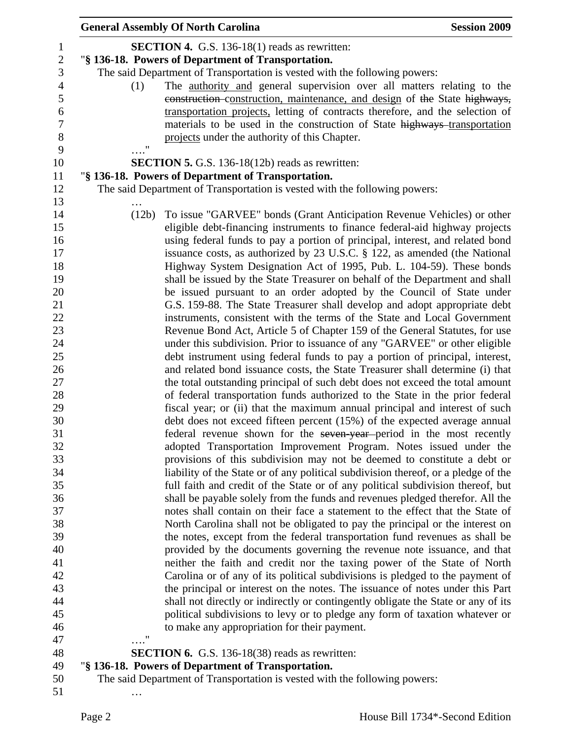|                                               | <b>General Assembly Of North Carolina</b> |                                                                                                                                                                                                             | <b>Session 2009</b> |
|-----------------------------------------------|-------------------------------------------|-------------------------------------------------------------------------------------------------------------------------------------------------------------------------------------------------------------|---------------------|
| $\mathbf{1}$<br>$\overline{c}$<br>3           |                                           | <b>SECTION 4.</b> G.S. 136-18(1) reads as rewritten:<br>"§ 136-18. Powers of Department of Transportation.<br>The said Department of Transportation is vested with the following powers:                    |                     |
| $\overline{4}$<br>5                           | (1)                                       | The <u>authority and</u> general supervision over all matters relating to the<br>construction-construction, maintenance, and design of the State highways,                                                  |                     |
| $\boldsymbol{6}$<br>$\overline{7}$<br>$\,8\,$ |                                           | transportation projects, letting of contracts therefore, and the selection of<br>materials to be used in the construction of State highways-transportation<br>projects under the authority of this Chapter. |                     |
| 9                                             | $\pmb{\mathsf{H}}$                        |                                                                                                                                                                                                             |                     |
| 10                                            |                                           | SECTION 5. G.S. 136-18(12b) reads as rewritten:                                                                                                                                                             |                     |
| 11                                            |                                           | "§ 136-18. Powers of Department of Transportation.                                                                                                                                                          |                     |
| 12<br>13                                      |                                           | The said Department of Transportation is vested with the following powers:                                                                                                                                  |                     |
| 14                                            | (12b)                                     | To issue "GARVEE" bonds (Grant Anticipation Revenue Vehicles) or other                                                                                                                                      |                     |
| 15                                            |                                           | eligible debt-financing instruments to finance federal-aid highway projects                                                                                                                                 |                     |
| 16                                            |                                           | using federal funds to pay a portion of principal, interest, and related bond                                                                                                                               |                     |
| 17                                            |                                           | issuance costs, as authorized by 23 U.S.C. § 122, as amended (the National                                                                                                                                  |                     |
| 18                                            |                                           | Highway System Designation Act of 1995, Pub. L. 104-59). These bonds                                                                                                                                        |                     |
| 19                                            |                                           | shall be issued by the State Treasurer on behalf of the Department and shall                                                                                                                                |                     |
| 20                                            |                                           | be issued pursuant to an order adopted by the Council of State under                                                                                                                                        |                     |
| 21                                            |                                           | G.S. 159-88. The State Treasurer shall develop and adopt appropriate debt                                                                                                                                   |                     |
| 22                                            |                                           | instruments, consistent with the terms of the State and Local Government                                                                                                                                    |                     |
| 23                                            |                                           | Revenue Bond Act, Article 5 of Chapter 159 of the General Statutes, for use                                                                                                                                 |                     |
| 24                                            |                                           | under this subdivision. Prior to issuance of any "GARVEE" or other eligible                                                                                                                                 |                     |
| 25                                            |                                           | debt instrument using federal funds to pay a portion of principal, interest,                                                                                                                                |                     |
| 26                                            |                                           | and related bond issuance costs, the State Treasurer shall determine (i) that                                                                                                                               |                     |
| 27                                            |                                           | the total outstanding principal of such debt does not exceed the total amount                                                                                                                               |                     |
| 28                                            |                                           | of federal transportation funds authorized to the State in the prior federal                                                                                                                                |                     |
| 29                                            |                                           | fiscal year; or (ii) that the maximum annual principal and interest of such                                                                                                                                 |                     |
| 30                                            |                                           | debt does not exceed fifteen percent (15%) of the expected average annual                                                                                                                                   |                     |
| 31                                            |                                           | federal revenue shown for the seven-year-period in the most recently                                                                                                                                        |                     |
| 32                                            |                                           | adopted Transportation Improvement Program. Notes issued under the                                                                                                                                          |                     |
| 33                                            |                                           | provisions of this subdivision may not be deemed to constitute a debt or                                                                                                                                    |                     |
| 34                                            |                                           | liability of the State or of any political subdivision thereof, or a pledge of the                                                                                                                          |                     |
| 35<br>36                                      |                                           | full faith and credit of the State or of any political subdivision thereof, but                                                                                                                             |                     |
| 37                                            |                                           | shall be payable solely from the funds and revenues pledged therefor. All the<br>notes shall contain on their face a statement to the effect that the State of                                              |                     |
| 38                                            |                                           | North Carolina shall not be obligated to pay the principal or the interest on                                                                                                                               |                     |
| 39                                            |                                           | the notes, except from the federal transportation fund revenues as shall be                                                                                                                                 |                     |
| 40                                            |                                           | provided by the documents governing the revenue note issuance, and that                                                                                                                                     |                     |
| 41                                            |                                           | neither the faith and credit nor the taxing power of the State of North                                                                                                                                     |                     |
| 42                                            |                                           | Carolina or of any of its political subdivisions is pledged to the payment of                                                                                                                               |                     |
| 43                                            |                                           | the principal or interest on the notes. The issuance of notes under this Part                                                                                                                               |                     |
| 44                                            |                                           | shall not directly or indirectly or contingently obligate the State or any of its                                                                                                                           |                     |
| 45                                            |                                           | political subdivisions to levy or to pledge any form of taxation whatever or                                                                                                                                |                     |
| 46                                            |                                           | to make any appropriation for their payment.                                                                                                                                                                |                     |
| 47                                            | $\cdot$ ."                                |                                                                                                                                                                                                             |                     |
| 48                                            |                                           | <b>SECTION 6.</b> G.S. 136-18(38) reads as rewritten:                                                                                                                                                       |                     |
| 49                                            |                                           | "§ 136-18. Powers of Department of Transportation.                                                                                                                                                          |                     |
| 50                                            |                                           | The said Department of Transportation is vested with the following powers:                                                                                                                                  |                     |
| 51                                            |                                           |                                                                                                                                                                                                             |                     |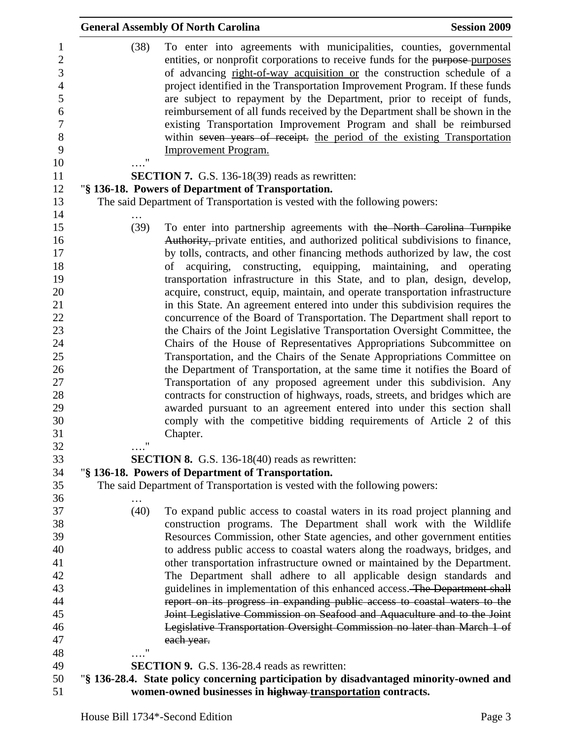|                       | <b>General Assembly Of North Carolina</b>                                                                                                                                                                                                                                                                                                                                                                                                                                                                                                                                                                                                                                                                                                                                                                                                                                                                                                                                                                                                                                                                                                                                                                                                                                                | <b>Session 2009</b> |
|-----------------------|------------------------------------------------------------------------------------------------------------------------------------------------------------------------------------------------------------------------------------------------------------------------------------------------------------------------------------------------------------------------------------------------------------------------------------------------------------------------------------------------------------------------------------------------------------------------------------------------------------------------------------------------------------------------------------------------------------------------------------------------------------------------------------------------------------------------------------------------------------------------------------------------------------------------------------------------------------------------------------------------------------------------------------------------------------------------------------------------------------------------------------------------------------------------------------------------------------------------------------------------------------------------------------------|---------------------|
| (38)<br>11            | To enter into agreements with municipalities, counties, governmental<br>entities, or nonprofit corporations to receive funds for the purpose-purposes<br>of advancing right-of-way acquisition or the construction schedule of a<br>project identified in the Transportation Improvement Program. If these funds<br>are subject to repayment by the Department, prior to receipt of funds,<br>reimbursement of all funds received by the Department shall be shown in the<br>existing Transportation Improvement Program and shall be reimbursed<br>within seven years of receipt. the period of the existing Transportation<br><b>Improvement Program.</b>                                                                                                                                                                                                                                                                                                                                                                                                                                                                                                                                                                                                                              |                     |
|                       | <b>SECTION 7.</b> G.S. 136-18(39) reads as rewritten:                                                                                                                                                                                                                                                                                                                                                                                                                                                                                                                                                                                                                                                                                                                                                                                                                                                                                                                                                                                                                                                                                                                                                                                                                                    |                     |
|                       | "§ 136-18. Powers of Department of Transportation.                                                                                                                                                                                                                                                                                                                                                                                                                                                                                                                                                                                                                                                                                                                                                                                                                                                                                                                                                                                                                                                                                                                                                                                                                                       |                     |
|                       | The said Department of Transportation is vested with the following powers:                                                                                                                                                                                                                                                                                                                                                                                                                                                                                                                                                                                                                                                                                                                                                                                                                                                                                                                                                                                                                                                                                                                                                                                                               |                     |
| (39)<br>11            | To enter into partnership agreements with the North Carolina Turnpike<br>Authority, private entities, and authorized political subdivisions to finance,<br>by tolls, contracts, and other financing methods authorized by law, the cost<br>acquiring, constructing, equipping, maintaining, and operating<br>of<br>transportation infrastructure in this State, and to plan, design, develop,<br>acquire, construct, equip, maintain, and operate transportation infrastructure<br>in this State. An agreement entered into under this subdivision requires the<br>concurrence of the Board of Transportation. The Department shall report to<br>the Chairs of the Joint Legislative Transportation Oversight Committee, the<br>Chairs of the House of Representatives Appropriations Subcommittee on<br>Transportation, and the Chairs of the Senate Appropriations Committee on<br>the Department of Transportation, at the same time it notifies the Board of<br>Transportation of any proposed agreement under this subdivision. Any<br>contracts for construction of highways, roads, streets, and bridges which are<br>awarded pursuant to an agreement entered into under this section shall<br>comply with the competitive bidding requirements of Article 2 of this<br>Chapter. |                     |
|                       | <b>SECTION 8.</b> G.S. 136-18(40) reads as rewritten:                                                                                                                                                                                                                                                                                                                                                                                                                                                                                                                                                                                                                                                                                                                                                                                                                                                                                                                                                                                                                                                                                                                                                                                                                                    |                     |
|                       | "§ 136-18. Powers of Department of Transportation.                                                                                                                                                                                                                                                                                                                                                                                                                                                                                                                                                                                                                                                                                                                                                                                                                                                                                                                                                                                                                                                                                                                                                                                                                                       |                     |
|                       | The said Department of Transportation is vested with the following powers:                                                                                                                                                                                                                                                                                                                                                                                                                                                                                                                                                                                                                                                                                                                                                                                                                                                                                                                                                                                                                                                                                                                                                                                                               |                     |
| (40)<br>$\pmb{\cdot}$ | To expand public access to coastal waters in its road project planning and<br>construction programs. The Department shall work with the Wildlife<br>Resources Commission, other State agencies, and other government entities<br>to address public access to coastal waters along the roadways, bridges, and<br>other transportation infrastructure owned or maintained by the Department.<br>The Department shall adhere to all applicable design standards and<br>guidelines in implementation of this enhanced access. The Department shall<br>report on its progress in expanding public access to coastal waters to the<br>Joint Legislative Commission on Seafood and Aquaculture and to the Joint<br>Legislative Transportation Oversight Commission no later than March 1 of<br>each year.                                                                                                                                                                                                                                                                                                                                                                                                                                                                                       |                     |
|                       | SECTION 9. G.S. 136-28.4 reads as rewritten:                                                                                                                                                                                                                                                                                                                                                                                                                                                                                                                                                                                                                                                                                                                                                                                                                                                                                                                                                                                                                                                                                                                                                                                                                                             |                     |
|                       | "§ 136-28.4. State policy concerning participation by disadvantaged minority-owned and                                                                                                                                                                                                                                                                                                                                                                                                                                                                                                                                                                                                                                                                                                                                                                                                                                                                                                                                                                                                                                                                                                                                                                                                   |                     |
|                       | women-owned businesses in highway transportation contracts.                                                                                                                                                                                                                                                                                                                                                                                                                                                                                                                                                                                                                                                                                                                                                                                                                                                                                                                                                                                                                                                                                                                                                                                                                              |                     |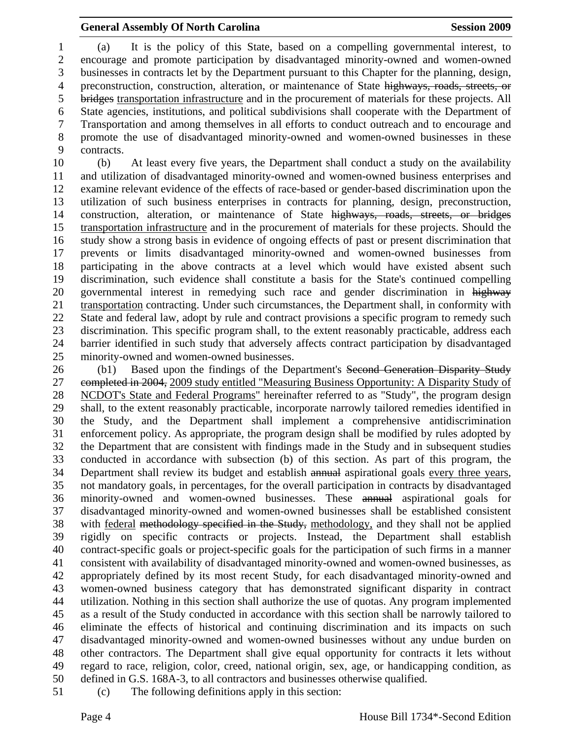### General Assembly Of North Carolina Session 2009

1 (a) It is the policy of this State, based on a compelling governmental interest, to 2 encourage and promote participation by disadvantaged minority-owned and women-owned 3 businesses in contracts let by the Department pursuant to this Chapter for the planning, design, 4 preconstruction, construction, alteration, or maintenance of State highways, roads, streets, or 5 bridges transportation infrastructure and in the procurement of materials for these projects. All 6 State agencies, institutions, and political subdivisions shall cooperate with the Department of 7 Transportation and among themselves in all efforts to conduct outreach and to encourage and 8 promote the use of disadvantaged minority-owned and women-owned businesses in these 9 contracts.

10 (b) At least every five years, the Department shall conduct a study on the availability 11 and utilization of disadvantaged minority-owned and women-owned business enterprises and 12 examine relevant evidence of the effects of race-based or gender-based discrimination upon the 13 utilization of such business enterprises in contracts for planning, design, preconstruction, 14 construction, alteration, or maintenance of State highways, roads, streets, or bridges 15 transportation infrastructure and in the procurement of materials for these projects. Should the 16 study show a strong basis in evidence of ongoing effects of past or present discrimination that 17 prevents or limits disadvantaged minority-owned and women-owned businesses from 18 participating in the above contracts at a level which would have existed absent such 19 discrimination, such evidence shall constitute a basis for the State's continued compelling 20 governmental interest in remedying such race and gender discrimination in highway 21 transportation contracting. Under such circumstances, the Department shall, in conformity with 22 State and federal law, adopt by rule and contract provisions a specific program to remedy such 23 discrimination. This specific program shall, to the extent reasonably practicable, address each 24 barrier identified in such study that adversely affects contract participation by disadvantaged 25 minority-owned and women-owned businesses.

26 (b1) Based upon the findings of the Department's Second Generation Disparity Study 27 completed in 2004, 2009 study entitled "Measuring Business Opportunity: A Disparity Study of 28 NCDOT's State and Federal Programs" hereinafter referred to as "Study", the program design 29 shall, to the extent reasonably practicable, incorporate narrowly tailored remedies identified in 30 the Study, and the Department shall implement a comprehensive antidiscrimination 31 enforcement policy. As appropriate, the program design shall be modified by rules adopted by 32 the Department that are consistent with findings made in the Study and in subsequent studies 33 conducted in accordance with subsection (b) of this section. As part of this program, the 34 Department shall review its budget and establish annual aspirational goals every three years, 35 not mandatory goals, in percentages, for the overall participation in contracts by disadvantaged 36 minority-owned and women-owned businesses. These annual aspirational goals for 37 disadvantaged minority-owned and women-owned businesses shall be established consistent 38 with federal methodology specified in the Study, methodology, and they shall not be applied 39 rigidly on specific contracts or projects. Instead, the Department shall establish 40 contract-specific goals or project-specific goals for the participation of such firms in a manner 41 consistent with availability of disadvantaged minority-owned and women-owned businesses, as 42 appropriately defined by its most recent Study, for each disadvantaged minority-owned and 43 women-owned business category that has demonstrated significant disparity in contract 44 utilization. Nothing in this section shall authorize the use of quotas. Any program implemented 45 as a result of the Study conducted in accordance with this section shall be narrowly tailored to 46 eliminate the effects of historical and continuing discrimination and its impacts on such 47 disadvantaged minority-owned and women-owned businesses without any undue burden on 48 other contractors. The Department shall give equal opportunity for contracts it lets without 49 regard to race, religion, color, creed, national origin, sex, age, or handicapping condition, as 50 defined in G.S. 168A-3, to all contractors and businesses otherwise qualified.

51 (c) The following definitions apply in this section: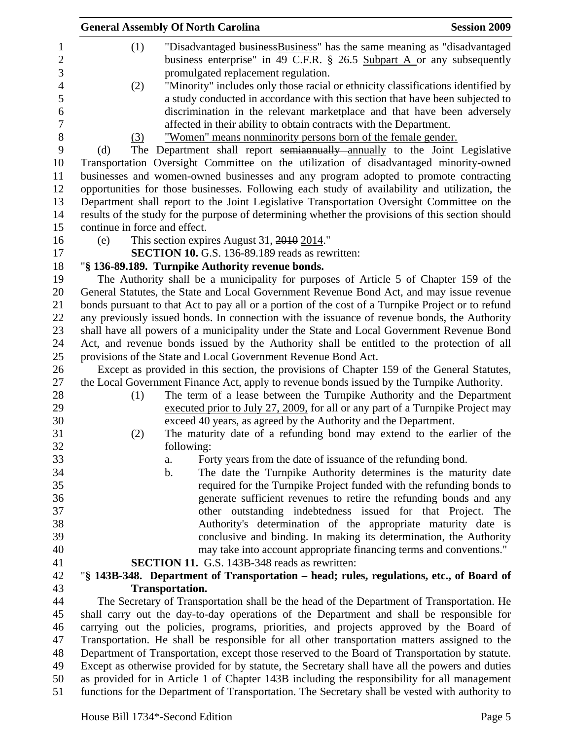| <b>General Assembly Of North Carolina</b>                                                         | <b>Session 2009</b>                                                  |
|---------------------------------------------------------------------------------------------------|----------------------------------------------------------------------|
| "Disadvantaged business Business" has the same meaning as "disadvantaged"<br>(1)                  |                                                                      |
| business enterprise" in 49 C.F.R. § 26.5 Subpart A or any subsequently                            |                                                                      |
| promulgated replacement regulation.                                                               |                                                                      |
| "Minority" includes only those racial or ethnicity classifications identified by<br>(2)           |                                                                      |
| a study conducted in accordance with this section that have been subjected to                     |                                                                      |
| discrimination in the relevant marketplace and that have been adversely                           |                                                                      |
| affected in their ability to obtain contracts with the Department.                                |                                                                      |
| "Women" means nonminority persons born of the female gender.<br>(3)                               |                                                                      |
| The Department shall report semiannually annually to the Joint Legislative<br>(d)                 |                                                                      |
| Transportation Oversight Committee on the utilization of disadvantaged minority-owned             |                                                                      |
| businesses and women-owned businesses and any program adopted to promote contracting              |                                                                      |
| opportunities for those businesses. Following each study of availability and utilization, the     |                                                                      |
| Department shall report to the Joint Legislative Transportation Oversight Committee on the        |                                                                      |
| results of the study for the purpose of determining whether the provisions of this section should |                                                                      |
| continue in force and effect.                                                                     |                                                                      |
| This section expires August 31, 2010 2014."<br>(e)                                                |                                                                      |
| <b>SECTION 10.</b> G.S. 136-89.189 reads as rewritten:                                            |                                                                      |
| "§ 136-89.189. Turnpike Authority revenue bonds.                                                  |                                                                      |
| The Authority shall be a municipality for purposes of Article 5 of Chapter 159 of the             |                                                                      |
| General Statutes, the State and Local Government Revenue Bond Act, and may issue revenue          |                                                                      |
| bonds pursuant to that Act to pay all or a portion of the cost of a Turnpike Project or to refund |                                                                      |
| any previously issued bonds. In connection with the issuance of revenue bonds, the Authority      |                                                                      |
| shall have all powers of a municipality under the State and Local Government Revenue Bond         |                                                                      |
| Act, and revenue bonds issued by the Authority shall be entitled to the protection of all         |                                                                      |
| provisions of the State and Local Government Revenue Bond Act.                                    |                                                                      |
| Except as provided in this section, the provisions of Chapter 159 of the General Statutes,        |                                                                      |
| the Local Government Finance Act, apply to revenue bonds issued by the Turnpike Authority.        |                                                                      |
| The term of a lease between the Turnpike Authority and the Department<br>(1)                      |                                                                      |
| executed prior to July 27, 2009, for all or any part of a Turnpike Project may                    |                                                                      |
| exceed 40 years, as agreed by the Authority and the Department.                                   |                                                                      |
| The maturity date of a refunding bond may extend to the earlier of the<br>(2)                     |                                                                      |
| following:                                                                                        |                                                                      |
| Forty years from the date of issuance of the refunding bond.<br>a.                                |                                                                      |
| $\mathbf b$ .                                                                                     | The date the Turnpike Authority determines is the maturity date      |
|                                                                                                   | required for the Turnpike Project funded with the refunding bonds to |
|                                                                                                   | generate sufficient revenues to retire the refunding bonds and any   |
|                                                                                                   | other outstanding indebtedness issued for that Project.<br>The       |
|                                                                                                   | Authority's determination of the appropriate maturity date is        |
|                                                                                                   | conclusive and binding. In making its determination, the Authority   |
|                                                                                                   | may take into account appropriate financing terms and conventions."  |
| SECTION 11. G.S. 143B-348 reads as rewritten:                                                     |                                                                      |
| "§ 143B-348. Department of Transportation - head; rules, regulations, etc., of Board of           |                                                                      |
| <b>Transportation.</b>                                                                            |                                                                      |
| The Secretary of Transportation shall be the head of the Department of Transportation. He         |                                                                      |
| shall carry out the day-to-day operations of the Department and shall be responsible for          |                                                                      |
| carrying out the policies, programs, priorities, and projects approved by the Board of            |                                                                      |
| Transportation. He shall be responsible for all other transportation matters assigned to the      |                                                                      |
| Department of Transportation, except those reserved to the Board of Transportation by statute.    |                                                                      |
| Except as otherwise provided for by statute, the Secretary shall have all the powers and duties   |                                                                      |
| as provided for in Article 1 of Chapter 143B including the responsibility for all management      |                                                                      |